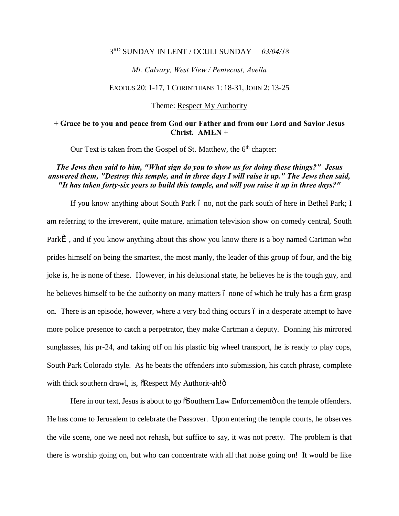## 3RD SUNDAY IN LENT / OCULI SUNDAY *03/04/18*

#### *Mt. Calvary, West View / Pentecost, Avella*

#### EXODUS 20: 1-17, 1 CORINTHIANS 1: 18-31, JOHN 2: 13-25

### Theme: Respect My Authority

## **+ Grace be to you and peace from God our Father and from our Lord and Savior Jesus Christ. AMEN** +

Our Text is taken from the Gospel of St. Matthew, the  $6<sup>th</sup>$  chapter:

## *The Jews then said to him, "What sign do you to show us for doing these things?" Jesus answered them, "Destroy this temple, and in three days I will raise it up." The Jews then said, "It has taken forty-six years to build this temple, and will you raise it up in three days?"*

If you know anything about South Park 6 no, not the park south of here in Bethel Park; I am referring to the irreverent, quite mature, animation television show on comedy central, South Park $\hat{I}$ , and if you know anything about this show you know there is a boy named Cartman who prides himself on being the smartest, the most manly, the leader of this group of four, and the big joke is, he is none of these. However, in his delusional state, he believes he is the tough guy, and he believes himself to be the authority on many matters 6 none of which he truly has a firm grasp on. There is an episode, however, where a very bad thing occurs  $\acute{o}$  in a desperate attempt to have more police presence to catch a perpetrator, they make Cartman a deputy. Donning his mirrored sunglasses, his pr-24, and taking off on his plastic big wheel transport, he is ready to play cops, South Park Colorado style. As he beats the offenders into submission, his catch phrase, complete with thick southern drawl, is,  $\delta$ Respect My Authorit-ah! $\delta$ 

Here in our text, Jesus is about to go  $\delta$ Southern Law Enforcemento on the temple offenders. He has come to Jerusalem to celebrate the Passover. Upon entering the temple courts, he observes the vile scene, one we need not rehash, but suffice to say, it was not pretty. The problem is that there is worship going on, but who can concentrate with all that noise going on! It would be like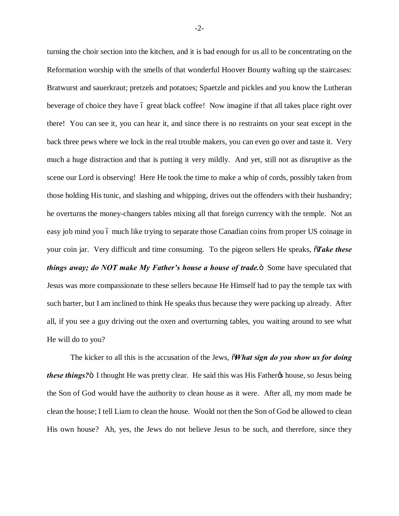turning the choir section into the kitchen, and it is bad enough for us all to be concentrating on the Reformation worship with the smells of that wonderful Hoover Bounty wafting up the staircases: Bratwurst and sauerkraut; pretzels and potatoes; Spaetzle and pickles and you know the Lutheran beverage of choice they have 6 great black coffee! Now imagine if that all takes place right over there! You can see it, you can hear it, and since there is no restraints on your seat except in the back three pews where we lock in the real trouble makers, you can even go over and taste it. Very much a huge distraction and that is putting it very mildly. And yet, still not as disruptive as the scene our Lord is observing! Here He took the time to make a whip of cords, possibly taken from those holding His tunic, and slashing and whipping, drives out the offenders with their husbandry; he overturns the money-changers tables mixing all that foreign currency with the temple. Not an easy job mind you ó much like trying to separate those Canadian coins from proper US coinage in your coin jar. Very difficult and time consuming. To the pigeon sellers He speaks,  $\tilde{o}$ Take these *things away; do NOT make My Father's house a house of trade.* Some have speculated that Jesus was more compassionate to these sellers because He Himself had to pay the temple tax with such barter, but I am inclined to think He speaks thus because they were packing up already. After all, if you see a guy driving out the oxen and overturning tables, you waiting around to see what He will do to you?

The kicker to all this is the accusation of the Jews,  $\delta$ *What sign do you show us for doing these things?*" I thought He was pretty clear. He said this was His Father<sub>'s</sub> house, so Jesus being the Son of God would have the authority to clean house as it were. After all, my mom made be clean the house; I tell Liam to clean the house. Would not then the Son of God be allowed to clean His own house? Ah, yes, the Jews do not believe Jesus to be such, and therefore, since they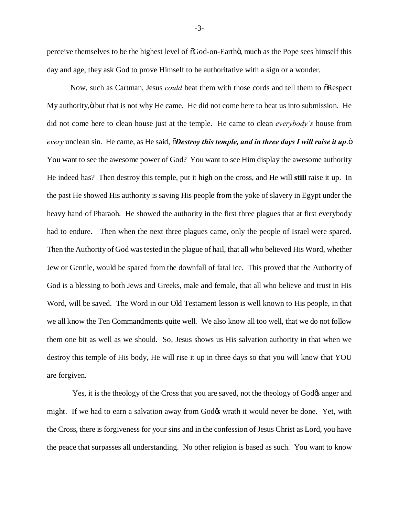perceive themselves to be the highest level of  $\delta$ God-on-Earthö, much as the Pope sees himself this day and age, they ask God to prove Himself to be authoritative with a sign or a wonder.

Now, such as Cartman, Jesus *could* beat them with those cords and tell them to  $\tilde{\text{o}}$ Respect My authority,  $\ddot{o}$  but that is not why He came. He did not come here to beat us into submission. He did not come here to clean house just at the temple. He came to clean *everybody's* house from *every* unclean sin. He came, as He said,  $\delta$ *Destroy this temple, and in three days I will raise it up.*  $\ddot{\text{o}}$ You want to see the awesome power of God? You want to see Him display the awesome authority He indeed has? Then destroy this temple, put it high on the cross, and He will **still** raise it up. In the past He showed His authority is saving His people from the yoke of slavery in Egypt under the heavy hand of Pharaoh. He showed the authority in the first three plagues that at first everybody had to endure. Then when the next three plagues came, only the people of Israel were spared. Then the Authority of God was tested in the plague of hail, that all who believed His Word, whether Jew or Gentile, would be spared from the downfall of fatal ice. This proved that the Authority of God is a blessing to both Jews and Greeks, male and female, that all who believe and trust in His Word, will be saved. The Word in our Old Testament lesson is well known to His people, in that we all know the Ten Commandments quite well. We also know all too well, that we do not follow them one bit as well as we should. So, Jesus shows us His salvation authority in that when we destroy this temple of His body, He will rise it up in three days so that you will know that YOU are forgiven.

Yes, it is the theology of the Cross that you are saved, not the theology of God $\alpha$  anger and might. If we had to earn a salvation away from God $\alpha$  wrath it would never be done. Yet, with the Cross, there is forgiveness for your sins and in the confession of Jesus Christ as Lord, you have the peace that surpasses all understanding. No other religion is based as such. You want to know